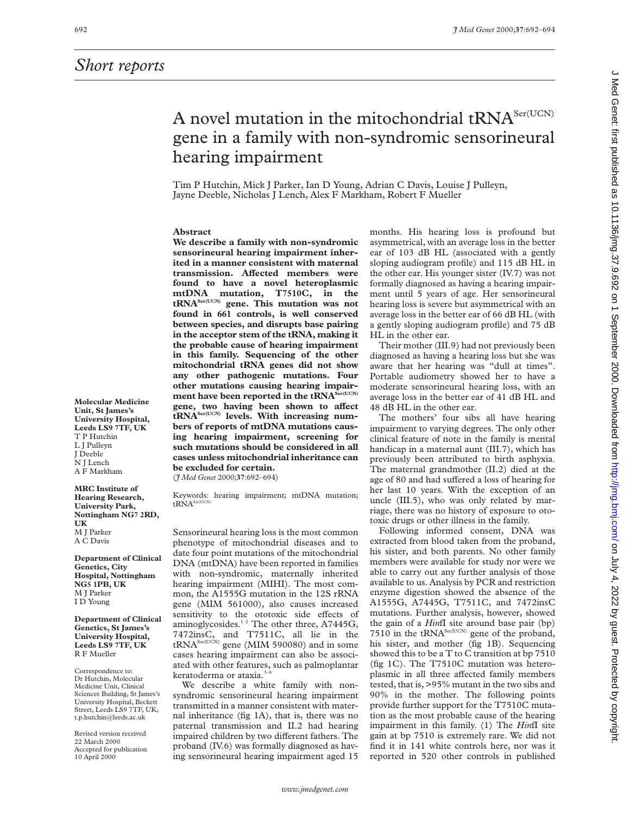## *Short reports*

## A novel mutation in the mitochondrial tRNA<sup>Ser(UCN)</sup> gene in a family with non-syndromic sensorineural hearing impairment

Tim P Hutchin, Mick J Parker, Ian D Young, Adrian C Davis, Louise J Pulleyn, Jayne Deeble, Nicholas J Lench, Alex F Markham, Robert F Mueller

## **Abstract**

**We describe a family with non-syndromic sensorineural hearing impairment inherited in a manner consistent with maternal transmission. AVected members were found to have a novel heteroplasmic mtDNA mutation, T7510C, in the tRNASer(UCN) gene. This mutation was not found in 661 controls, is well conserved between species, and disrupts base pairing in the acceptor stem of the tRNA, making it the probable cause of hearing impairment in this family. Sequencing of the other mitochondrial tRNA genes did not show any other pathogenic mutations. Four other mutations causing hearing impair**ment have been reported in the tRNA<sup>Ser(UCN)</sup> gene, two having been shown to affect **tRNASer(UCN) levels. With increasing numbers of reports of mtDNA mutations causing hearing impairment, screening for such mutations should be considered in all cases unless mitochondrial inheritance can be excluded for certain.**

(*J Med Genet* 2000;**37**:692–694)

Keywords: hearing impairment; mtDNA mutation;  $tRNA<sup>Ser(UC</sup>$ 

Sensorineural hearing loss is the most common phenotype of mitochondrial diseases and to date four point mutations of the mitochondrial DNA (mtDNA) have been reported in families with non-syndromic, maternally inherited hearing impairment (MIHI). The most common, the A1555G mutation in the 12S rRNA gene (MIM 561000), also causes increased sensitivity to the ototoxic side effects of aminoglycosides.<sup>12</sup> The other three, A7445G, 7472insC, and T7511C, all lie in the t $\text{RNA}^{\text{Ser(UCN)}}$  gene (MIM 590080) and in some cases hearing impairment can also be associated with other features, such as palmoplantar keratoderma or ataxia. $3-6$ 

We describe a white family with nonsyndromic sensorineural hearing impairment transmitted in a manner consistent with maternal inheritance (fig 1A), that is, there was no paternal transmission and II.2 had hearing impaired children by two different fathers. The proband (IV.6) was formally diagnosed as having sensorineural hearing impairment aged 15

months. His hearing loss is profound but asymmetrical, with an average loss in the better ear of 103 dB HL (associated with a gently sloping audiogram profile) and 115 dB HL in the other ear. His younger sister (IV.7) was not formally diagnosed as having a hearing impairment until 5 years of age. Her sensorineural hearing loss is severe but asymmetrical with an average loss in the better ear of 66 dB HL (with a gently sloping audiogram profile) and 75 dB HL in the other ear.

Their mother (III.9) had not previously been diagnosed as having a hearing loss but she was aware that her hearing was "dull at times". Portable audiometry showed her to have a moderate sensorineural hearing loss, with an average loss in the better ear of 41 dB HL and 48 dB HL in the other ear.

The mothers' four sibs all have hearing impairment to varying degrees. The only other clinical feature of note in the family is mental handicap in a maternal aunt (III.7), which has previously been attributed to birth asphyxia. The maternal grandmother (II.2) died at the age of 80 and had suffered a loss of hearing for her last 10 years. With the exception of an uncle (III.5), who was only related by marriage, there was no history of exposure to ototoxic drugs or other illness in the family.

Following informed consent, DNA was extracted from blood taken from the proband, his sister, and both parents. No other family members were available for study nor were we able to carry out any further analysis of those available to us. Analysis by PCR and restriction enzyme digestion showed the absence of the A1555G, A7445G, T7511C, and 7472insC mutations. Further analysis, however, showed the gain of a *Hin*fI site around base pair (bp) 7510 in the tRNA<sup>Ser(UCN)</sup> gene of the proband, his sister, and mother (fig 1B). Sequencing showed this to be a T to C transition at bp 7510 (fig 1C). The T7510C mutation was heteroplasmic in all three affected family members tested, that is, >95% mutant in the two sibs and 90% in the mother. The following points provide further support for the T7510C mutation as the most probable cause of the hearing impairment in this family. (1) The *Hin*fI site gain at bp 7510 is extremely rare. We did not find it in 141 white controls here, nor was it reported in 520 other controls in published

**Molecular Medicine Unit, St James's University Hospital, Leeds LS9 7TF, UK** T P Hutchin L J Pulleyn J Deeble N<sub>II ench</sub> A F Markham

**MRC Institute of Hearing Research, University Park, Nottingham NG7 2RD, UK** M J Parker A C Davis

**Department of Clinical Genetics, City Hospital, Nottingham NG5 1PB, UK** M J Parker I D Young

**Department of Clinical Genetics, St James's University Hospital, Leeds LS9 7TF, UK** R F Mueller

Correspondence to: Dr Hutchin, Molecular Medicine Unit, Clinical Sciences Building, St James's University Hospital, Beckett Street, Leeds LS9 7TF, UK, t.p.hutchin@leeds.ac.uk

Revised version received 22 March 2000 Accepted for publication 10 April 2000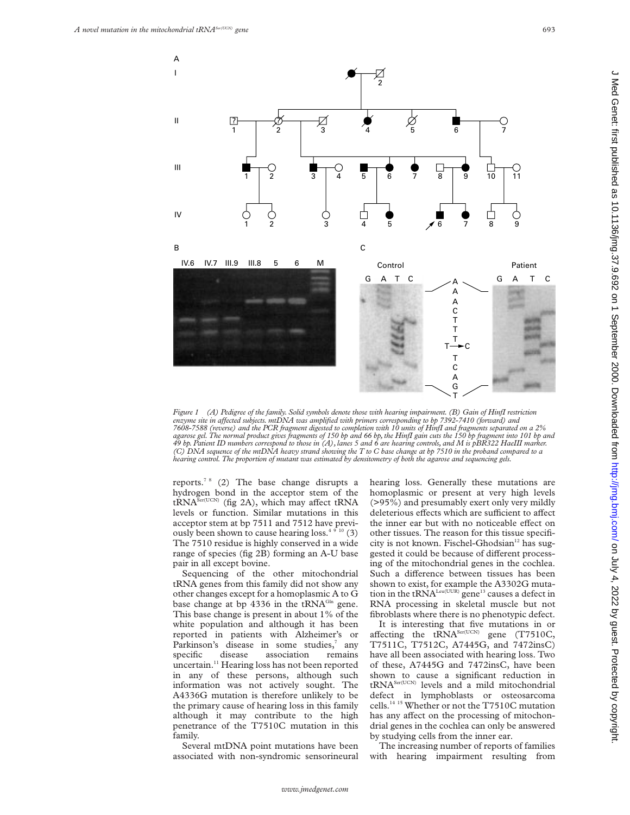

*Figure 1 (A) Pedigree of the family. Solid symbols denote those with hearing impairment. (B) Gain of HinfI restriction enzyme site in aVected subjects. mtDNA was amplified with primers corresponding to bp 7392-7410 (forward) and 7608-7588 (reverse) and the PCR fragment digested to completion with 10 units of HinfI and fragments separated on a 2%* agarose gel. The normal product gives fragments of 150 bp and 66 bp, the HinfI gain cuts the 150 bp fragment into 101 bp and<br>49 bp. Patient ID numbers correspond to those in (A), lanes 5 and 6 are hearing controls, and M i *(C) DNA sequence of the mtDNA heavy strand showing the T to C base change at bp 7510 in the proband compared to a hearing control. The proportion of mutant was estimated by densitometry of both the agarose and sequencing gels.*

reports.<sup>7 8</sup> (2) The base change disrupts a hydrogen bond in the acceptor stem of the  $t\overline{RNA}^{\text{Ser(UCN)}}$  (fig 2A), which may affect tRNA levels or function. Similar mutations in this acceptor stem at bp 7511 and 7512 have previously been shown to cause hearing loss. $4910(3)$ The 7510 residue is highly conserved in a wide range of species (fig 2B) forming an A-U base pair in all except bovine.

Sequencing of the other mitochondrial tRNA genes from this family did not show any other changes except for a homoplasmic A to G base change at bp 4336 in the tRNA<sup>Gln</sup> gene. This base change is present in about 1% of the white population and although it has been reported in patients with Alzheimer's or Parkinson's disease in some studies,<sup>7</sup> any specific disease association remains uncertain.<sup>11</sup> Hearing loss has not been reported in any of these persons, although such information was not actively sought. The A4336G mutation is therefore unlikely to be the primary cause of hearing loss in this family although it may contribute to the high penetrance of the T7510C mutation in this family.

Several mtDNA point mutations have been associated with non-syndromic sensorineural hearing loss. Generally these mutations are homoplasmic or present at very high levels (>95%) and presumably exert only very mildly deleterious effects which are sufficient to affect the inner ear but with no noticeable effect on other tissues. The reason for this tissue specificity is not known. Fischel-Ghodsian<sup>12</sup> has suggested it could be because of different processing of the mitochondrial genes in the cochlea. Such a difference between tissues has been shown to exist, for example the A3302G mutation in the tRNA<sup>Leu(UUR)</sup> gene<sup>13</sup> causes a defect in RNA processing in skeletal muscle but not fibroblasts where there is no phenotypic defect.

It is interesting that five mutations in or affecting the  $tRNA<sup>Ser(UCN)</sup>$  gene (T7510C, T7511C, T7512C, A7445G, and 7472insC) have all been associated with hearing loss. Two of these, A7445G and 7472insC, have been shown to cause a significant reduction in tRNASer(UCN) levels and a mild mitochondrial defect in lymphoblasts or osteosarcoma cells.14 15 Whether or not the T7510C mutation has any affect on the processing of mitochondrial genes in the cochlea can only be answered by studying cells from the inner ear.

The increasing number of reports of families with hearing impairment resulting from